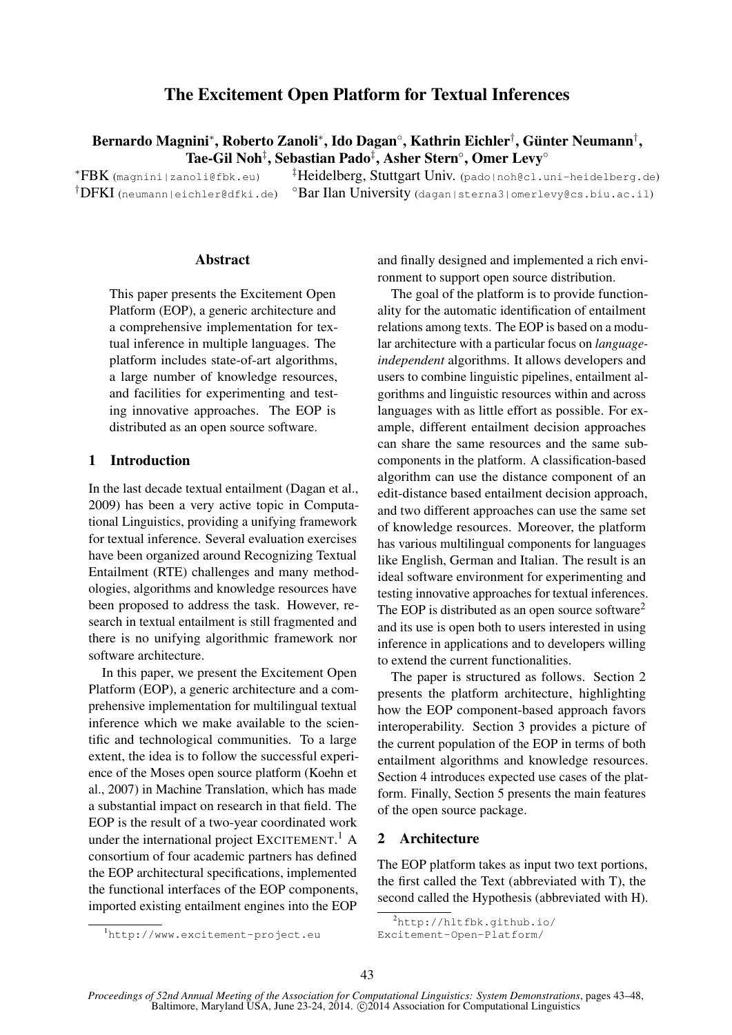# The Excitement Open Platform for Textual Inferences

Bernardo Magnini\*, Roberto Zanoli\*, Ido Dagan°, Kathrin Eichler†, Günter Neumann†, Tae-Gil Noh‡, Sebastian Pado‡, Asher Stern°, Omer Levy°

†DFKI (neumann|eichler@dfki.de)

 $*FBK$  (magnini|zanoli@fbk.eu)  $*FBK$  (padol ${\tt b}$ iniv. (pado|noh@cl.uni-heidelberg.de) ◦Bar Ilan University (dagan|sterna3|omerlevy@cs.biu.ac.il)

#### **Abstract**

This paper presents the Excitement Open Platform (EOP), a generic architecture and a comprehensive implementation for textual inference in multiple languages. The platform includes state-of-art algorithms, a large number of knowledge resources, and facilities for experimenting and testing innovative approaches. The EOP is distributed as an open source software.

### 1 Introduction

In the last decade textual entailment (Dagan et al., 2009) has been a very active topic in Computational Linguistics, providing a unifying framework for textual inference. Several evaluation exercises have been organized around Recognizing Textual Entailment (RTE) challenges and many methodologies, algorithms and knowledge resources have been proposed to address the task. However, research in textual entailment is still fragmented and there is no unifying algorithmic framework nor software architecture.

In this paper, we present the Excitement Open Platform (EOP), a generic architecture and a comprehensive implementation for multilingual textual inference which we make available to the scientific and technological communities. To a large extent, the idea is to follow the successful experience of the Moses open source platform (Koehn et al., 2007) in Machine Translation, which has made a substantial impact on research in that field. The EOP is the result of a two-year coordinated work under the international project EXCITEMENT.<sup>1</sup> A consortium of four academic partners has defined the EOP architectural specifications, implemented the functional interfaces of the EOP components, imported existing entailment engines into the EOP

and finally designed and implemented a rich environment to support open source distribution.

The goal of the platform is to provide functionality for the automatic identification of entailment relations among texts. The EOP is based on a modular architecture with a particular focus on *languageindependent* algorithms. It allows developers and users to combine linguistic pipelines, entailment algorithms and linguistic resources within and across languages with as little effort as possible. For example, different entailment decision approaches can share the same resources and the same subcomponents in the platform. A classification-based algorithm can use the distance component of an edit-distance based entailment decision approach, and two different approaches can use the same set of knowledge resources. Moreover, the platform has various multilingual components for languages like English, German and Italian. The result is an ideal software environment for experimenting and testing innovative approaches for textual inferences. The EOP is distributed as an open source software<sup>2</sup> and its use is open both to users interested in using inference in applications and to developers willing to extend the current functionalities.

The paper is structured as follows. Section 2 presents the platform architecture, highlighting how the EOP component-based approach favors interoperability. Section 3 provides a picture of the current population of the EOP in terms of both entailment algorithms and knowledge resources. Section 4 introduces expected use cases of the platform. Finally, Section 5 presents the main features of the open source package.

## 2 Architecture

The EOP platform takes as input two text portions, the first called the Text (abbreviated with T), the second called the Hypothesis (abbreviated with H).

<sup>1</sup>http://www.excitement-project.eu

 $^{2}$ http://hltfbk.qithub.io/

Excitement-Open-Platform/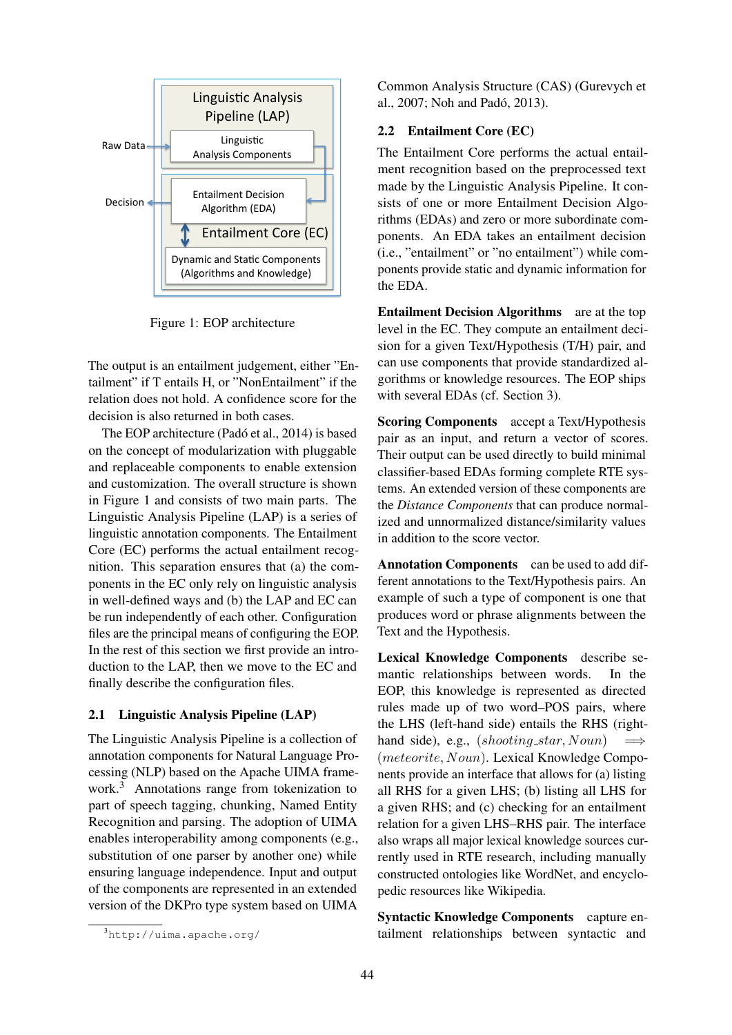

Figure 1: EOP architecture

The output is an entailment judgement, either "Entailment" if T entails H, or "NonEntailment" if the relation does not hold. A confidence score for the decision is also returned in both cases.

The EOP architecture (Padó et al., 2014) is based on the concept of modularization with pluggable and replaceable components to enable extension and customization. The overall structure is shown in Figure 1 and consists of two main parts. The Linguistic Analysis Pipeline (LAP) is a series of linguistic annotation components. The Entailment Core (EC) performs the actual entailment recognition. This separation ensures that (a) the components in the EC only rely on linguistic analysis in well-defined ways and (b) the LAP and EC can be run independently of each other. Configuration files are the principal means of configuring the EOP. In the rest of this section we first provide an introduction to the LAP, then we move to the EC and finally describe the configuration files.

## 2.1 Linguistic Analysis Pipeline (LAP)

The Linguistic Analysis Pipeline is a collection of annotation components for Natural Language Processing (NLP) based on the Apache UIMA framework.<sup>3</sup> Annotations range from tokenization to part of speech tagging, chunking, Named Entity Recognition and parsing. The adoption of UIMA enables interoperability among components (e.g., substitution of one parser by another one) while ensuring language independence. Input and output of the components are represented in an extended version of the DKPro type system based on UIMA

Common Analysis Structure (CAS) (Gurevych et al., 2007; Noh and Pado, 2013). ´

## 2.2 Entailment Core (EC)

The Entailment Core performs the actual entailment recognition based on the preprocessed text made by the Linguistic Analysis Pipeline. It consists of one or more Entailment Decision Algorithms (EDAs) and zero or more subordinate components. An EDA takes an entailment decision (i.e., "entailment" or "no entailment") while components provide static and dynamic information for the EDA.

level in the EC. They compute an entailment deci-Entailment Decision Algorithms are at the top sion for a given Text/Hypothesis (T/H) pair, and can use components that provide standardized algorithms or knowledge resources. The EOP ships with several EDAs (cf. Section 3).

Scoring Components accept a Text/Hypothesis pair as an input, and return a vector of scores. Their output can be used directly to build minimal classifier-based EDAs forming complete RTE systems. An extended version of these components are the *Distance Components* that can produce normalized and unnormalized distance/similarity values in addition to the score vector.

Annotation Components can be used to add different annotations to the Text/Hypothesis pairs. An example of such a type of component is one that produces word or phrase alignments between the Text and the Hypothesis.

Lexical Knowledge Components describe semantic relationships between words. In the EOP, this knowledge is represented as directed rules made up of two word–POS pairs, where the LHS (left-hand side) entails the RHS (righthand side), e.g.,  $(shooting\_star, Noun)$ (meteorite, Noun). Lexical Knowledge Components provide an interface that allows for (a) listing all RHS for a given LHS; (b) listing all LHS for a given RHS; and (c) checking for an entailment relation for a given LHS–RHS pair. The interface also wraps all major lexical knowledge sources currently used in RTE research, including manually constructed ontologies like WordNet, and encyclopedic resources like Wikipedia.

Syntactic Knowledge Components capture entailment relationships between syntactic and

<sup>3</sup>http://uima.apache.org/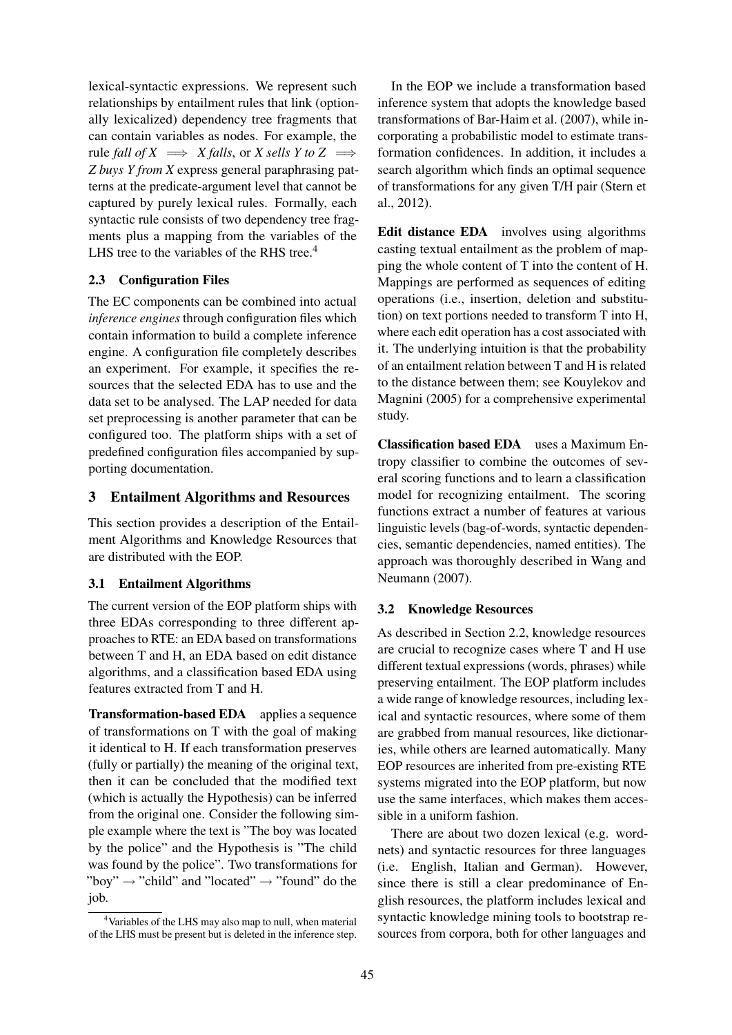lexical-syntactic expressions. We represent such relationships by entailment rules that link (optionally lexicalized) dependency tree fragments that can contain variables as nodes. For example, the rule *fall of X*  $\implies$  *X falls*, or *X sells Y to Z*  $\implies$ *Z buys Y from X* express general paraphrasing patterns at the predicate-argument level that cannot be captured by purely lexical rules. Formally, each syntactic rule consists of two dependency tree fragments plus a mapping from the variables of the LHS tree to the variables of the RHS tree.<sup>4</sup>

# 2.3 Configuration Files

The EC components can be combined into actual *inference engines* through configuration files which contain information to build a complete inference engine. A configuration file completely describes an experiment. For example, it specifies the resources that the selected EDA has to use and the data set to be analysed. The LAP needed for data set preprocessing is another parameter that can be configured too. The platform ships with a set of predefined configuration files accompanied by supporting documentation.

# 3 Entailment Algorithms and Resources

This section provides a description of the Entailment Algorithms and Knowledge Resources that are distributed with the EOP.

# 3.1 Entailment Algorithms

The current version of the EOP platform ships with three EDAs corresponding to three different approaches to RTE: an EDA based on transformations between T and H, an EDA based on edit distance algorithms, and a classification based EDA using features extracted from T and H.

Transformation-based EDA applies a sequence of transformations on T with the goal of making it identical to H. If each transformation preserves (fully or partially) the meaning of the original text, then it can be concluded that the modified text (which is actually the Hypothesis) can be inferred from the original one. Consider the following simple example where the text is "The boy was located by the police" and the Hypothesis is "The child was found by the police". Two transformations for "boy"  $\rightarrow$  "child" and "located"  $\rightarrow$  "found" do the job.

In the EOP we include a transformation based inference system that adopts the knowledge based transformations of Bar-Haim et al. (2007), while incorporating a probabilistic model to estimate transformation confidences. In addition, it includes a search algorithm which finds an optimal sequence of transformations for any given T/H pair (Stern et al., 2012).

Edit distance EDA involves using algorithms casting textual entailment as the problem of mapping the whole content of T into the content of H. Mappings are performed as sequences of editing operations (i.e., insertion, deletion and substitution) on text portions needed to transform T into H, where each edit operation has a cost associated with it. The underlying intuition is that the probability of an entailment relation between T and H is related to the distance between them; see Kouylekov and Magnini (2005) for a comprehensive experimental study.

Classification based EDA uses a Maximum Entropy classifier to combine the outcomes of several scoring functions and to learn a classification model for recognizing entailment. The scoring functions extract a number of features at various linguistic levels (bag-of-words, syntactic dependencies, semantic dependencies, named entities). The approach was thoroughly described in Wang and Neumann (2007).

# 3.2 Knowledge Resources

As described in Section 2.2, knowledge resources are crucial to recognize cases where T and H use different textual expressions (words, phrases) while preserving entailment. The EOP platform includes a wide range of knowledge resources, including lexical and syntactic resources, where some of them are grabbed from manual resources, like dictionaries, while others are learned automatically. Many EOP resources are inherited from pre-existing RTE systems migrated into the EOP platform, but now use the same interfaces, which makes them accessible in a uniform fashion.

There are about two dozen lexical (e.g. wordnets) and syntactic resources for three languages (i.e. English, Italian and German). However, since there is still a clear predominance of English resources, the platform includes lexical and syntactic knowledge mining tools to bootstrap resources from corpora, both for other languages and

<sup>&</sup>lt;sup>4</sup>Variables of the LHS may also map to null, when material of the LHS must be present but is deleted in the inference step.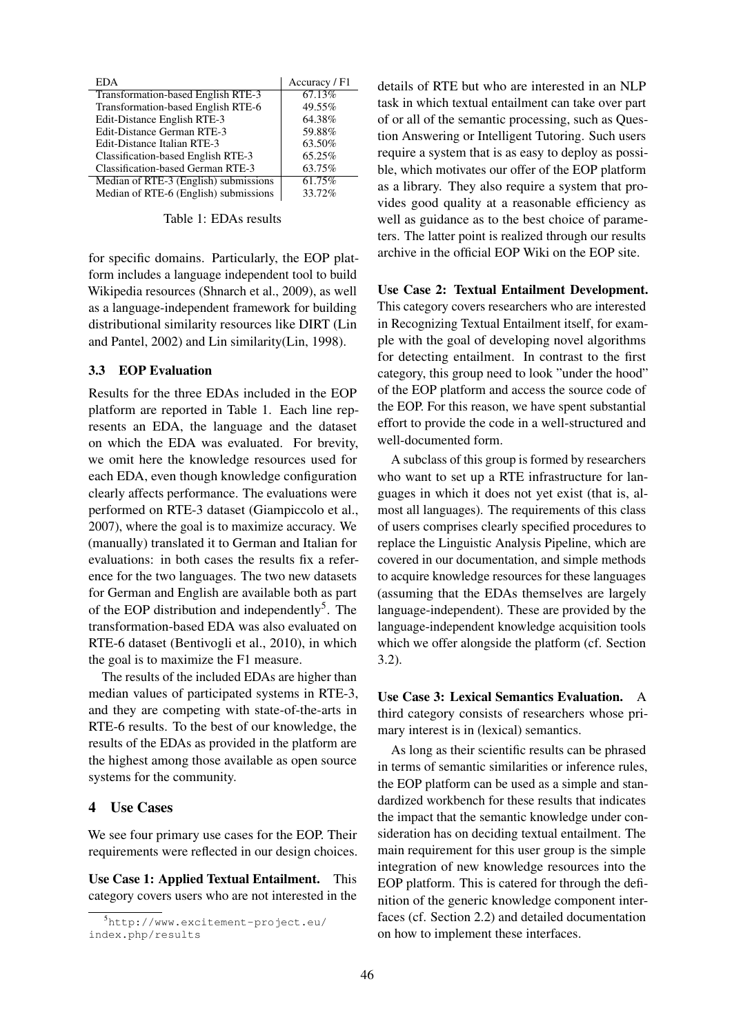| EDA                                   | Accuracy / F1 |
|---------------------------------------|---------------|
| Transformation-based English RTE-3    | 67.13%        |
| Transformation-based English RTE-6    | 49.55%        |
| Edit-Distance English RTE-3           | 64.38%        |
| Edit-Distance German RTE-3            | 59.88%        |
| Edit-Distance Italian RTE-3           | 63.50%        |
| Classification-based English RTE-3    | 65.25%        |
| Classification-based German RTE-3     | 63.75%        |
| Median of RTE-3 (English) submissions | 61.75%        |
| Median of RTE-6 (English) submissions | 33.72%        |

Table 1: EDAs results

for specific domains. Particularly, the EOP platform includes a language independent tool to build Wikipedia resources (Shnarch et al., 2009), as well as a language-independent framework for building distributional similarity resources like DIRT (Lin and Pantel, 2002) and Lin similarity(Lin, 1998).

## 3.3 EOP Evaluation

Results for the three EDAs included in the EOP platform are reported in Table 1. Each line represents an EDA, the language and the dataset on which the EDA was evaluated. For brevity, we omit here the knowledge resources used for each EDA, even though knowledge configuration clearly affects performance. The evaluations were performed on RTE-3 dataset (Giampiccolo et al., 2007), where the goal is to maximize accuracy. We (manually) translated it to German and Italian for evaluations: in both cases the results fix a reference for the two languages. The two new datasets for German and English are available both as part of the EOP distribution and independently<sup>5</sup>. The transformation-based EDA was also evaluated on RTE-6 dataset (Bentivogli et al., 2010), in which the goal is to maximize the F1 measure.

The results of the included EDAs are higher than median values of participated systems in RTE-3, and they are competing with state-of-the-arts in RTE-6 results. To the best of our knowledge, the results of the EDAs as provided in the platform are the highest among those available as open source systems for the community.

### 4 Use Cases

We see four primary use cases for the EOP. Their requirements were reflected in our design choices.

Use Case 1: Applied Textual Entailment. This category covers users who are not interested in the details of RTE but who are interested in an NLP task in which textual entailment can take over part of or all of the semantic processing, such as Question Answering or Intelligent Tutoring. Such users require a system that is as easy to deploy as possible, which motivates our offer of the EOP platform as a library. They also require a system that provides good quality at a reasonable efficiency as well as guidance as to the best choice of parameters. The latter point is realized through our results archive in the official EOP Wiki on the EOP site.

#### Use Case 2: Textual Entailment Development.

This category covers researchers who are interested in Recognizing Textual Entailment itself, for example with the goal of developing novel algorithms for detecting entailment. In contrast to the first category, this group need to look "under the hood" of the EOP platform and access the source code of the EOP. For this reason, we have spent substantial effort to provide the code in a well-structured and well-documented form.

A subclass of this group is formed by researchers who want to set up a RTE infrastructure for languages in which it does not yet exist (that is, almost all languages). The requirements of this class of users comprises clearly specified procedures to replace the Linguistic Analysis Pipeline, which are covered in our documentation, and simple methods to acquire knowledge resources for these languages (assuming that the EDAs themselves are largely language-independent). These are provided by the language-independent knowledge acquisition tools which we offer alongside the platform (cf. Section 3.2).

Use Case 3: Lexical Semantics Evaluation. A third category consists of researchers whose primary interest is in (lexical) semantics.

As long as their scientific results can be phrased in terms of semantic similarities or inference rules, the EOP platform can be used as a simple and standardized workbench for these results that indicates the impact that the semantic knowledge under consideration has on deciding textual entailment. The main requirement for this user group is the simple integration of new knowledge resources into the EOP platform. This is catered for through the definition of the generic knowledge component interfaces (cf. Section 2.2) and detailed documentation on how to implement these interfaces.

<sup>5</sup>http://www.excitement-project.eu/ index.php/results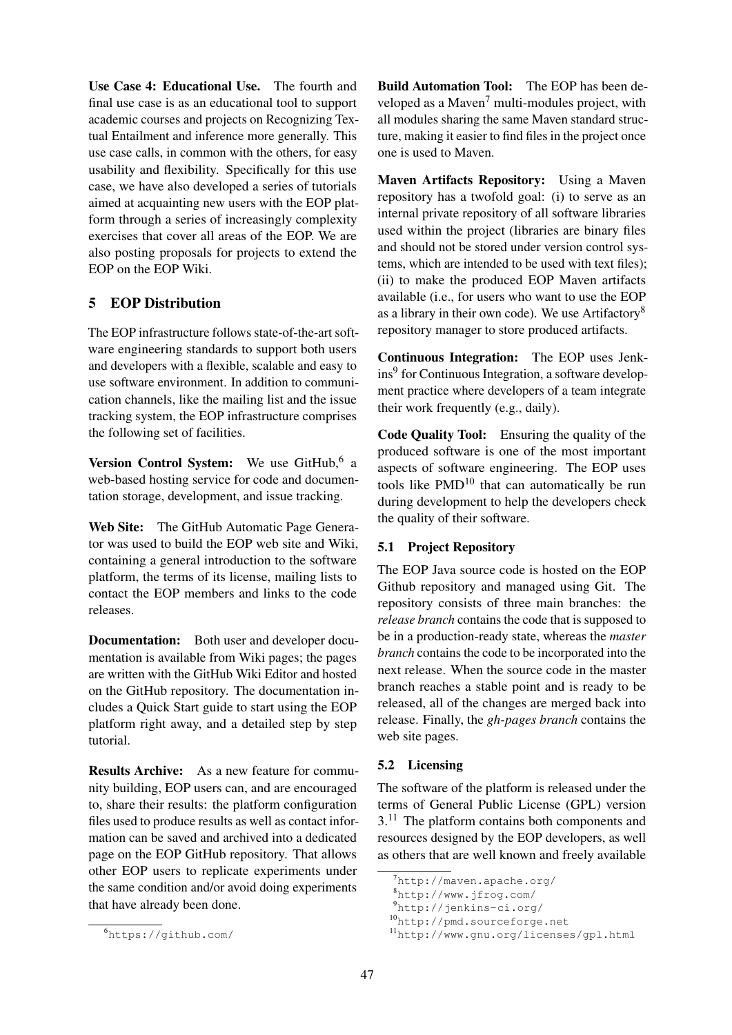Use Case 4: Educational Use. The fourth and final use case is as an educational tool to support academic courses and projects on Recognizing Textual Entailment and inference more generally. This use case calls, in common with the others, for easy usability and flexibility. Specifically for this use case, we have also developed a series of tutorials aimed at acquainting new users with the EOP platform through a series of increasingly complexity exercises that cover all areas of the EOP. We are also posting proposals for projects to extend the EOP on the EOP Wiki.

# 5 EOP Distribution

The EOP infrastructure follows state-of-the-art software engineering standards to support both users and developers with a flexible, scalable and easy to use software environment. In addition to communication channels, like the mailing list and the issue tracking system, the EOP infrastructure comprises the following set of facilities.

Version Control System: We use GitHub,<sup>6</sup> a web-based hosting service for code and documentation storage, development, and issue tracking.

Web Site: The GitHub Automatic Page Generator was used to build the EOP web site and Wiki, containing a general introduction to the software platform, the terms of its license, mailing lists to contact the EOP members and links to the code releases.

Documentation: Both user and developer documentation is available from Wiki pages; the pages are written with the GitHub Wiki Editor and hosted on the GitHub repository. The documentation includes a Quick Start guide to start using the EOP platform right away, and a detailed step by step tutorial.

Results Archive: As a new feature for community building, EOP users can, and are encouraged to, share their results: the platform configuration files used to produce results as well as contact information can be saved and archived into a dedicated page on the EOP GitHub repository. That allows other EOP users to replicate experiments under the same condition and/or avoid doing experiments that have already been done.

Build Automation Tool: The EOP has been developed as a Maven<sup>7</sup> multi-modules project, with all modules sharing the same Maven standard structure, making it easier to find files in the project once one is used to Maven.

Maven Artifacts Repository: Using a Maven repository has a twofold goal: (i) to serve as an internal private repository of all software libraries used within the project (libraries are binary files and should not be stored under version control systems, which are intended to be used with text files); (ii) to make the produced EOP Maven artifacts available (i.e., for users who want to use the EOP as a library in their own code). We use Artifactory<sup>8</sup> repository manager to store produced artifacts.

Continuous Integration: The EOP uses Jenkins<sup>9</sup> for Continuous Integration, a software development practice where developers of a team integrate their work frequently (e.g., daily).

Code Quality Tool: Ensuring the quality of the produced software is one of the most important aspects of software engineering. The EOP uses tools like PMD<sup>10</sup> that can automatically be run during development to help the developers check the quality of their software.

### 5.1 Project Repository

The EOP Java source code is hosted on the EOP Github repository and managed using Git. The repository consists of three main branches: the *release branch* contains the code that is supposed to be in a production-ready state, whereas the *master branch* contains the code to be incorporated into the next release. When the source code in the master branch reaches a stable point and is ready to be released, all of the changes are merged back into release. Finally, the *gh-pages branch* contains the web site pages.

### 5.2 Licensing

The software of the platform is released under the terms of General Public License (GPL) version 3.<sup>11</sup> The platform contains both components and resources designed by the EOP developers, as well as others that are well known and freely available

<sup>6</sup>https://github.com/

<sup>7</sup>http://maven.apache.org/

<sup>8</sup>http://www.jfrog.com/

<sup>9</sup>http://jenkins-ci.org/

<sup>10</sup>http://pmd.sourceforge.net

<sup>11</sup>http://www.gnu.org/licenses/gpl.html